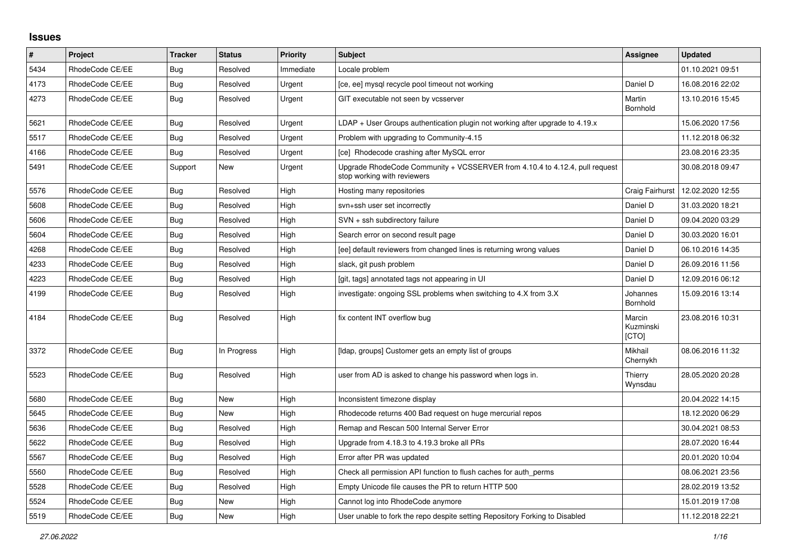## **Issues**

| $\pmb{\#}$ | Project         | <b>Tracker</b> | <b>Status</b> | <b>Priority</b> | <b>Subject</b>                                                                                             | Assignee                     | <b>Updated</b>   |
|------------|-----------------|----------------|---------------|-----------------|------------------------------------------------------------------------------------------------------------|------------------------------|------------------|
| 5434       | RhodeCode CE/EE | Bug            | Resolved      | Immediate       | Locale problem                                                                                             |                              | 01.10.2021 09:51 |
| 4173       | RhodeCode CE/EE | Bug            | Resolved      | Urgent          | [ce, ee] mysql recycle pool timeout not working                                                            | Daniel D                     | 16.08.2016 22:02 |
| 4273       | RhodeCode CE/EE | Bug            | Resolved      | Urgent          | GIT executable not seen by vcsserver                                                                       | Martin<br>Bornhold           | 13.10.2016 15:45 |
| 5621       | RhodeCode CE/EE | <b>Bug</b>     | Resolved      | Urgent          | $LDAP + User Groups$ authentication plugin not working after upgrade to 4.19. $x$                          |                              | 15.06.2020 17:56 |
| 5517       | RhodeCode CE/EE | Bug            | Resolved      | Urgent          | Problem with upgrading to Community-4.15                                                                   |                              | 11.12.2018 06:32 |
| 4166       | RhodeCode CE/EE | <b>Bug</b>     | Resolved      | Urgent          | [ce] Rhodecode crashing after MySQL error                                                                  |                              | 23.08.2016 23:35 |
| 5491       | RhodeCode CE/EE | Support        | <b>New</b>    | Urgent          | Upgrade RhodeCode Community + VCSSERVER from 4.10.4 to 4.12.4, pull request<br>stop working with reviewers |                              | 30.08.2018 09:47 |
| 5576       | RhodeCode CE/EE | Bug            | Resolved      | High            | Hosting many repositories                                                                                  | Craig Fairhurst              | 12.02.2020 12:55 |
| 5608       | RhodeCode CE/EE | <b>Bug</b>     | Resolved      | High            | svn+ssh user set incorrectly                                                                               | Daniel D                     | 31.03.2020 18:21 |
| 5606       | RhodeCode CE/EE | Bug            | Resolved      | High            | SVN + ssh subdirectory failure                                                                             | Daniel D                     | 09.04.2020 03:29 |
| 5604       | RhodeCode CE/EE | <b>Bug</b>     | Resolved      | High            | Search error on second result page                                                                         | Daniel D                     | 30.03.2020 16:01 |
| 4268       | RhodeCode CE/EE | <b>Bug</b>     | Resolved      | High            | [ee] default reviewers from changed lines is returning wrong values                                        | Daniel D                     | 06.10.2016 14:35 |
| 4233       | RhodeCode CE/EE | Bug            | Resolved      | High            | slack, git push problem                                                                                    | Daniel D                     | 26.09.2016 11:56 |
| 4223       | RhodeCode CE/EE | <b>Bug</b>     | Resolved      | High            | [git, tags] annotated tags not appearing in UI                                                             | Daniel D                     | 12.09.2016 06:12 |
| 4199       | RhodeCode CE/EE | <b>Bug</b>     | Resolved      | High            | investigate: ongoing SSL problems when switching to 4.X from 3.X                                           | Johannes<br>Bornhold         | 15.09.2016 13:14 |
| 4184       | RhodeCode CE/EE | Bug            | Resolved      | High            | fix content INT overflow bug                                                                               | Marcin<br>Kuzminski<br>[CTO] | 23.08.2016 10:31 |
| 3372       | RhodeCode CE/EE | Bug            | In Progress   | High            | [Idap, groups] Customer gets an empty list of groups                                                       | Mikhail<br>Chernykh          | 08.06.2016 11:32 |
| 5523       | RhodeCode CE/EE | Bug            | Resolved      | High            | user from AD is asked to change his password when logs in.                                                 | Thierry<br>Wynsdau           | 28.05.2020 20:28 |
| 5680       | RhodeCode CE/EE | <b>Bug</b>     | New           | High            | Inconsistent timezone display                                                                              |                              | 20.04.2022 14:15 |
| 5645       | RhodeCode CE/EE | Bug            | New           | High            | Rhodecode returns 400 Bad request on huge mercurial repos                                                  |                              | 18.12.2020 06:29 |
| 5636       | RhodeCode CE/EE | Bug            | Resolved      | High            | Remap and Rescan 500 Internal Server Error                                                                 |                              | 30.04.2021 08:53 |
| 5622       | RhodeCode CE/EE | Bug            | Resolved      | High            | Upgrade from 4.18.3 to 4.19.3 broke all PRs                                                                |                              | 28.07.2020 16:44 |
| 5567       | RhodeCode CE/EE | <b>Bug</b>     | Resolved      | High            | Error after PR was updated                                                                                 |                              | 20.01.2020 10:04 |
| 5560       | RhodeCode CE/EE | Bug            | Resolved      | High            | Check all permission API function to flush caches for auth perms                                           |                              | 08.06.2021 23:56 |
| 5528       | RhodeCode CE/EE | <b>Bug</b>     | Resolved      | High            | Empty Unicode file causes the PR to return HTTP 500                                                        |                              | 28.02.2019 13:52 |
| 5524       | RhodeCode CE/EE | Bug            | New           | High            | Cannot log into RhodeCode anymore                                                                          |                              | 15.01.2019 17:08 |
| 5519       | RhodeCode CE/EE | Bug            | New           | High            | User unable to fork the repo despite setting Repository Forking to Disabled                                |                              | 11.12.2018 22:21 |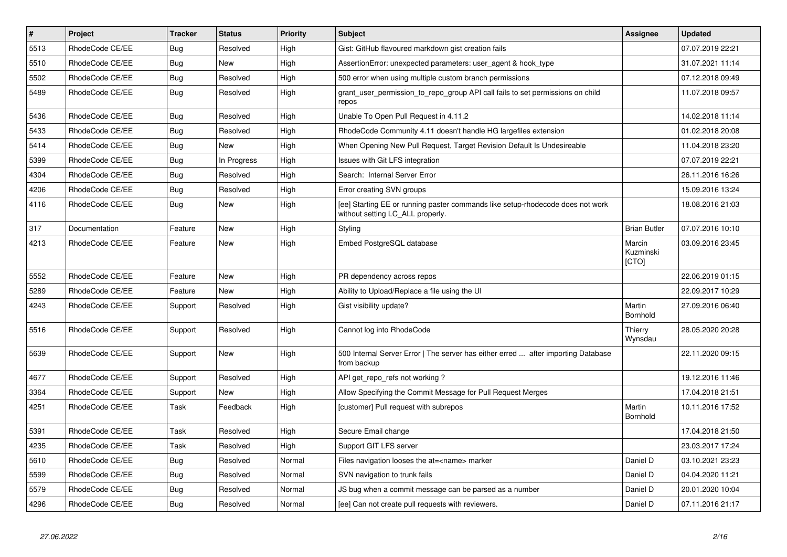| $\sharp$ | Project         | <b>Tracker</b> | <b>Status</b> | <b>Priority</b> | Subject                                                                                                            | <b>Assignee</b>              | <b>Updated</b>   |
|----------|-----------------|----------------|---------------|-----------------|--------------------------------------------------------------------------------------------------------------------|------------------------------|------------------|
| 5513     | RhodeCode CE/EE | Bug            | Resolved      | High            | Gist: GitHub flavoured markdown gist creation fails                                                                |                              | 07.07.2019 22:21 |
| 5510     | RhodeCode CE/EE | Bug            | <b>New</b>    | High            | AssertionError: unexpected parameters: user agent & hook type                                                      |                              | 31.07.2021 11:14 |
| 5502     | RhodeCode CE/EE | Bug            | Resolved      | High            | 500 error when using multiple custom branch permissions                                                            |                              | 07.12.2018 09:49 |
| 5489     | RhodeCode CE/EE | Bug            | Resolved      | High            | grant_user_permission_to_repo_group API call fails to set permissions on child<br>repos                            |                              | 11.07.2018 09:57 |
| 5436     | RhodeCode CE/EE | <b>Bug</b>     | Resolved      | High            | Unable To Open Pull Request in 4.11.2                                                                              |                              | 14.02.2018 11:14 |
| 5433     | RhodeCode CE/EE | Bug            | Resolved      | High            | RhodeCode Community 4.11 doesn't handle HG largefiles extension                                                    |                              | 01.02.2018 20:08 |
| 5414     | RhodeCode CE/EE | Bug            | <b>New</b>    | High            | When Opening New Pull Request, Target Revision Default Is Undesireable                                             |                              | 11.04.2018 23:20 |
| 5399     | RhodeCode CE/EE | Bug            | In Progress   | High            | Issues with Git LFS integration                                                                                    |                              | 07.07.2019 22:21 |
| 4304     | RhodeCode CE/EE | Bug            | Resolved      | High            | Search: Internal Server Error                                                                                      |                              | 26.11.2016 16:26 |
| 4206     | RhodeCode CE/EE | Bug            | Resolved      | High            | Error creating SVN groups                                                                                          |                              | 15.09.2016 13:24 |
| 4116     | RhodeCode CE/EE | Bug            | <b>New</b>    | High            | [ee] Starting EE or running paster commands like setup-rhodecode does not work<br>without setting LC ALL properly. |                              | 18.08.2016 21:03 |
| 317      | Documentation   | Feature        | <b>New</b>    | High            | Styling                                                                                                            | <b>Brian Butler</b>          | 07.07.2016 10:10 |
| 4213     | RhodeCode CE/EE | Feature        | <b>New</b>    | High            | Embed PostgreSQL database                                                                                          | Marcin<br>Kuzminski<br>[CTO] | 03.09.2016 23:45 |
| 5552     | RhodeCode CE/EE | Feature        | <b>New</b>    | High            | PR dependency across repos                                                                                         |                              | 22.06.2019 01:15 |
| 5289     | RhodeCode CE/EE | Feature        | <b>New</b>    | High            | Ability to Upload/Replace a file using the UI                                                                      |                              | 22.09.2017 10:29 |
| 4243     | RhodeCode CE/EE | Support        | Resolved      | High            | Gist visibility update?                                                                                            | Martin<br>Bornhold           | 27.09.2016 06:40 |
| 5516     | RhodeCode CE/EE | Support        | Resolved      | High            | Cannot log into RhodeCode                                                                                          | Thierry<br>Wynsdau           | 28.05.2020 20:28 |
| 5639     | RhodeCode CE/EE | Support        | <b>New</b>    | High            | 500 Internal Server Error   The server has either erred  after importing Database<br>from backup                   |                              | 22.11.2020 09:15 |
| 4677     | RhodeCode CE/EE | Support        | Resolved      | High            | API get repo refs not working?                                                                                     |                              | 19.12.2016 11:46 |
| 3364     | RhodeCode CE/EE | Support        | <b>New</b>    | High            | Allow Specifying the Commit Message for Pull Request Merges                                                        |                              | 17.04.2018 21:51 |
| 4251     | RhodeCode CE/EE | Task           | Feedback      | High            | [customer] Pull request with subrepos                                                                              | Martin<br>Bornhold           | 10.11.2016 17:52 |
| 5391     | RhodeCode CE/EE | Task           | Resolved      | High            | Secure Email change                                                                                                |                              | 17.04.2018 21:50 |
| 4235     | RhodeCode CE/EE | Task           | Resolved      | High            | Support GIT LFS server                                                                                             |                              | 23.03.2017 17:24 |
| 5610     | RhodeCode CE/EE | Bug            | Resolved      | Normal          | Files navigation looses the at= <name> marker</name>                                                               | Daniel D                     | 03.10.2021 23:23 |
| 5599     | RhodeCode CE/EE | <b>Bug</b>     | Resolved      | Normal          | SVN navigation to trunk fails                                                                                      | Daniel D                     | 04.04.2020 11:21 |
| 5579     | RhodeCode CE/EE | Bug            | Resolved      | Normal          | JS bug when a commit message can be parsed as a number                                                             | Daniel D                     | 20.01.2020 10:04 |
| 4296     | RhodeCode CE/EE | Bug            | Resolved      | Normal          | [ee] Can not create pull requests with reviewers.                                                                  | Daniel D                     | 07.11.2016 21:17 |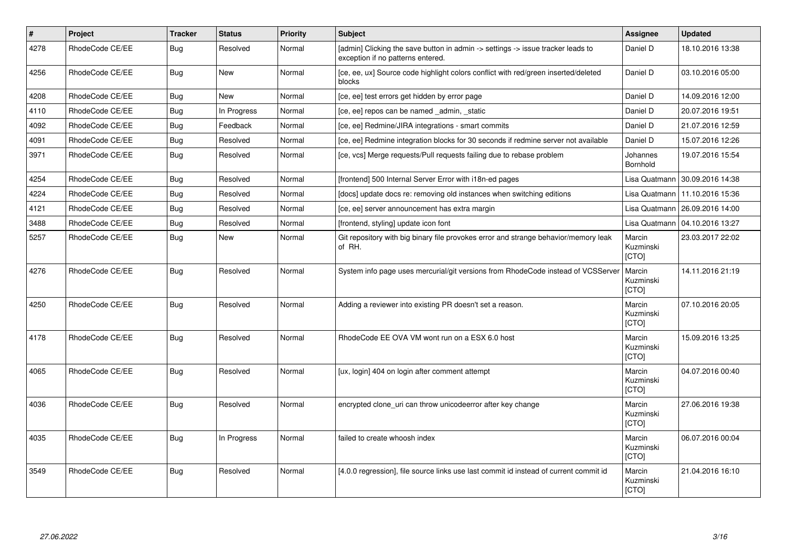| #    | <b>Project</b>  | <b>Tracker</b> | <b>Status</b> | <b>Priority</b> | <b>Subject</b>                                                                                                       | <b>Assignee</b>                     | <b>Updated</b>                   |
|------|-----------------|----------------|---------------|-----------------|----------------------------------------------------------------------------------------------------------------------|-------------------------------------|----------------------------------|
| 4278 | RhodeCode CE/EE | Bug            | Resolved      | Normal          | [admin] Clicking the save button in admin -> settings -> issue tracker leads to<br>exception if no patterns entered. | Daniel D                            | 18.10.2016 13:38                 |
| 4256 | RhodeCode CE/EE | Bug            | <b>New</b>    | Normal          | [ce, ee, ux] Source code highlight colors conflict with red/green inserted/deleted<br>blocks                         | Daniel D                            | 03.10.2016 05:00                 |
| 4208 | RhodeCode CE/EE | Bug            | <b>New</b>    | Normal          | [ce, ee] test errors get hidden by error page                                                                        | Daniel D                            | 14.09.2016 12:00                 |
| 4110 | RhodeCode CE/EE | Bug            | In Progress   | Normal          | [ce, ee] repos can be named admin, static                                                                            | Daniel D                            | 20.07.2016 19:51                 |
| 4092 | RhodeCode CE/EE | <b>Bug</b>     | Feedback      | Normal          | [ce, ee] Redmine/JIRA integrations - smart commits                                                                   | Daniel D                            | 21.07.2016 12:59                 |
| 4091 | RhodeCode CE/EE | Bug            | Resolved      | Normal          | [ce, ee] Redmine integration blocks for 30 seconds if redmine server not available                                   | Daniel D                            | 15.07.2016 12:26                 |
| 3971 | RhodeCode CE/EE | <b>Bug</b>     | Resolved      | Normal          | [ce, vcs] Merge requests/Pull requests failing due to rebase problem                                                 | Johannes<br>Bornhold                | 19.07.2016 15:54                 |
| 4254 | RhodeCode CE/EE | Bug            | Resolved      | Normal          | [frontend] 500 Internal Server Error with i18n-ed pages                                                              | Lisa Quatmann                       | 30.09.2016 14:38                 |
| 4224 | RhodeCode CE/EE | Bug            | Resolved      | Normal          | [docs] update docs re: removing old instances when switching editions                                                |                                     | Lisa Quatmann   11.10.2016 15:36 |
| 4121 | RhodeCode CE/EE | Bug            | Resolved      | Normal          | [ce, ee] server announcement has extra margin                                                                        | Lisa Quatmann                       | 26.09.2016 14:00                 |
| 3488 | RhodeCode CE/EE | Bug            | Resolved      | Normal          | [frontend, styling] update icon font                                                                                 | Lisa Quatmann                       | 04.10.2016 13:27                 |
| 5257 | RhodeCode CE/EE | Bug            | <b>New</b>    | Normal          | Git repository with big binary file provokes error and strange behavior/memory leak<br>of RH.                        | Marcin<br>Kuzminski<br>[CTO]        | 23.03.2017 22:02                 |
| 4276 | RhodeCode CE/EE | <b>Bug</b>     | Resolved      | Normal          | System info page uses mercurial/git versions from RhodeCode instead of VCSServer                                     | Marcin<br>Kuzminski<br>[CTO]        | 14.11.2016 21:19                 |
| 4250 | RhodeCode CE/EE | Bug            | Resolved      | Normal          | Adding a reviewer into existing PR doesn't set a reason.                                                             | Marcin<br>Kuzminski<br><b>[CTO]</b> | 07.10.2016 20:05                 |
| 4178 | RhodeCode CE/EE | <b>Bug</b>     | Resolved      | Normal          | RhodeCode EE OVA VM wont run on a ESX 6.0 host                                                                       | Marcin<br>Kuzminski<br>[CTO]        | 15.09.2016 13:25                 |
| 4065 | RhodeCode CE/EE | Bug            | Resolved      | Normal          | [ux, login] 404 on login after comment attempt                                                                       | Marcin<br>Kuzminski<br>[CTO]        | 04.07.2016 00:40                 |
| 4036 | RhodeCode CE/EE | <b>Bug</b>     | Resolved      | Normal          | encrypted clone uri can throw unicodeerror after key change                                                          | Marcin<br>Kuzminski<br>[CTO]        | 27.06.2016 19:38                 |
| 4035 | RhodeCode CE/EE | <b>Bug</b>     | In Progress   | Normal          | failed to create whoosh index                                                                                        | Marcin<br>Kuzminski<br>[CTO]        | 06.07.2016 00:04                 |
| 3549 | RhodeCode CE/EE | <b>Bug</b>     | Resolved      | Normal          | [4.0.0 regression], file source links use last commit id instead of current commit id                                | Marcin<br>Kuzminski<br>[CTO]        | 21.04.2016 16:10                 |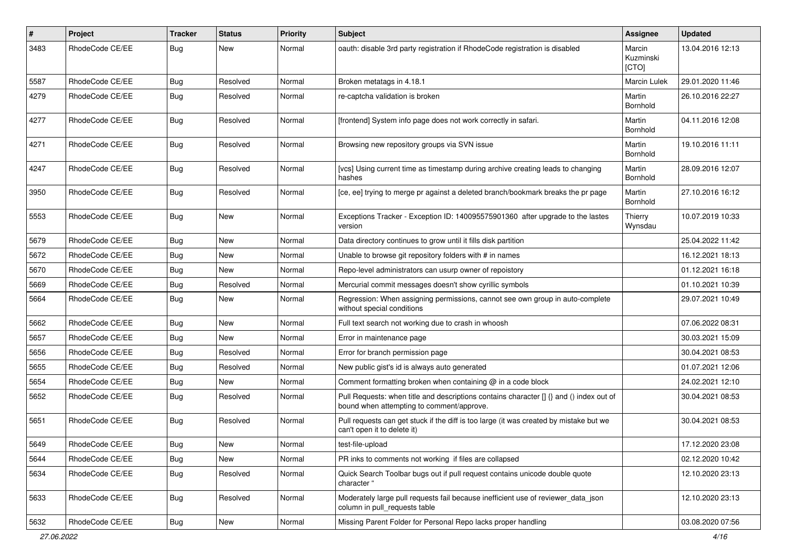| $\#$ | Project         | Tracker    | <b>Status</b> | <b>Priority</b> | Subject                                                                                                                              | Assignee                     | <b>Updated</b>   |
|------|-----------------|------------|---------------|-----------------|--------------------------------------------------------------------------------------------------------------------------------------|------------------------------|------------------|
| 3483 | RhodeCode CE/EE | Bug        | New           | Normal          | oauth: disable 3rd party registration if RhodeCode registration is disabled                                                          | Marcin<br>Kuzminski<br>[CTO] | 13.04.2016 12:13 |
| 5587 | RhodeCode CE/EE | Bug        | Resolved      | Normal          | Broken metatags in 4.18.1                                                                                                            | Marcin Lulek                 | 29.01.2020 11:46 |
| 4279 | RhodeCode CE/EE | <b>Bug</b> | Resolved      | Normal          | re-captcha validation is broken                                                                                                      | Martin<br>Bornhold           | 26.10.2016 22:27 |
| 4277 | RhodeCode CE/EE | Bug        | Resolved      | Normal          | [frontend] System info page does not work correctly in safari.                                                                       | Martin<br>Bornhold           | 04.11.2016 12:08 |
| 4271 | RhodeCode CE/EE | <b>Bug</b> | Resolved      | Normal          | Browsing new repository groups via SVN issue                                                                                         | Martin<br>Bornhold           | 19.10.2016 11:11 |
| 4247 | RhodeCode CE/EE | Bug        | Resolved      | Normal          | [vcs] Using current time as timestamp during archive creating leads to changing<br>hashes                                            | Martin<br>Bornhold           | 28.09.2016 12:07 |
| 3950 | RhodeCode CE/EE | Bug        | Resolved      | Normal          | [ce, ee] trying to merge pr against a deleted branch/bookmark breaks the pr page                                                     | Martin<br>Bornhold           | 27.10.2016 16:12 |
| 5553 | RhodeCode CE/EE | <b>Bug</b> | New           | Normal          | Exceptions Tracker - Exception ID: 140095575901360 after upgrade to the lastes<br>version                                            | Thierry<br>Wynsdau           | 10.07.2019 10:33 |
| 5679 | RhodeCode CE/EE | <b>Bug</b> | New           | Normal          | Data directory continues to grow until it fills disk partition                                                                       |                              | 25.04.2022 11:42 |
| 5672 | RhodeCode CE/EE | <b>Bug</b> | New           | Normal          | Unable to browse git repository folders with # in names                                                                              |                              | 16.12.2021 18:13 |
| 5670 | RhodeCode CE/EE | <b>Bug</b> | New           | Normal          | Repo-level administrators can usurp owner of repoistory                                                                              |                              | 01.12.2021 16:18 |
| 5669 | RhodeCode CE/EE | <b>Bug</b> | Resolved      | Normal          | Mercurial commit messages doesn't show cyrillic symbols                                                                              |                              | 01.10.2021 10:39 |
| 5664 | RhodeCode CE/EE | <b>Bug</b> | New           | Normal          | Regression: When assigning permissions, cannot see own group in auto-complete<br>without special conditions                          |                              | 29.07.2021 10:49 |
| 5662 | RhodeCode CE/EE | <b>Bug</b> | New           | Normal          | Full text search not working due to crash in whoosh                                                                                  |                              | 07.06.2022 08:31 |
| 5657 | RhodeCode CE/EE | Bug        | New           | Normal          | Error in maintenance page                                                                                                            |                              | 30.03.2021 15:09 |
| 5656 | RhodeCode CE/EE | <b>Bug</b> | Resolved      | Normal          | Error for branch permission page                                                                                                     |                              | 30.04.2021 08:53 |
| 5655 | RhodeCode CE/EE | <b>Bug</b> | Resolved      | Normal          | New public gist's id is always auto generated                                                                                        |                              | 01.07.2021 12:06 |
| 5654 | RhodeCode CE/EE | Bug        | New           | Normal          | Comment formatting broken when containing @ in a code block                                                                          |                              | 24.02.2021 12:10 |
| 5652 | RhodeCode CE/EE | Bug        | Resolved      | Normal          | Pull Requests: when title and descriptions contains character [] {} and () index out of<br>bound when attempting to comment/approve. |                              | 30.04.2021 08:53 |
| 5651 | RhodeCode CE/EE | Bug        | Resolved      | Normal          | Pull requests can get stuck if the diff is too large (it was created by mistake but we<br>can't open it to delete it)                |                              | 30.04.2021 08:53 |
| 5649 | RhodeCode CE/EE | <b>Bug</b> | New           | Normal          | test-file-upload                                                                                                                     |                              | 17.12.2020 23:08 |
| 5644 | RhodeCode CE/EE | Bug        | New           | Normal          | PR inks to comments not working if files are collapsed                                                                               |                              | 02.12.2020 10:42 |
| 5634 | RhodeCode CE/EE | Bug        | Resolved      | Normal          | Quick Search Toolbar bugs out if pull request contains unicode double quote<br>character "                                           |                              | 12.10.2020 23:13 |
| 5633 | RhodeCode CE/EE | Bug        | Resolved      | Normal          | Moderately large pull requests fail because inefficient use of reviewer_data_json<br>column in pull requests table                   |                              | 12.10.2020 23:13 |
| 5632 | RhodeCode CE/EE | <b>Bug</b> | New           | Normal          | Missing Parent Folder for Personal Repo lacks proper handling                                                                        |                              | 03.08.2020 07:56 |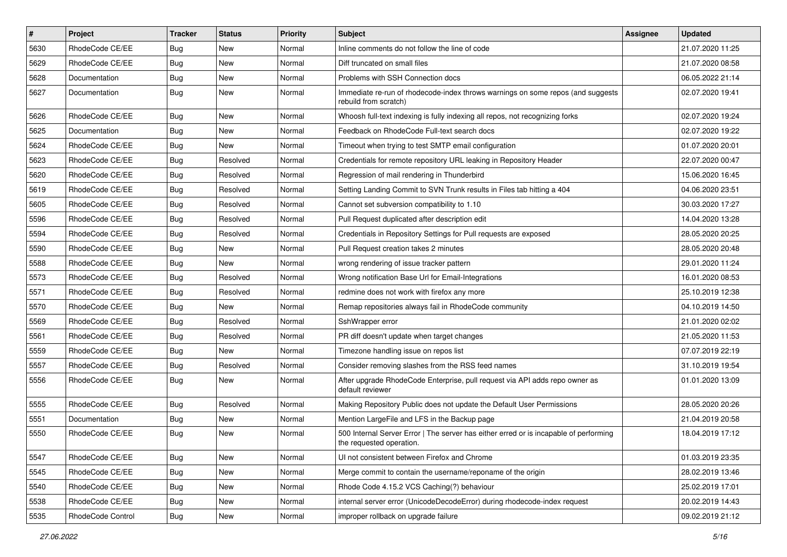| #    | Project           | <b>Tracker</b> | <b>Status</b> | <b>Priority</b> | <b>Subject</b>                                                                                                    | <b>Assignee</b> | <b>Updated</b>   |
|------|-------------------|----------------|---------------|-----------------|-------------------------------------------------------------------------------------------------------------------|-----------------|------------------|
| 5630 | RhodeCode CE/EE   | Bug            | New           | Normal          | Inline comments do not follow the line of code                                                                    |                 | 21.07.2020 11:25 |
| 5629 | RhodeCode CE/EE   | Bug            | <b>New</b>    | Normal          | Diff truncated on small files                                                                                     |                 | 21.07.2020 08:58 |
| 5628 | Documentation     | Bug            | New           | Normal          | Problems with SSH Connection docs                                                                                 |                 | 06.05.2022 21:14 |
| 5627 | Documentation     | Bug            | New           | Normal          | Immediate re-run of rhodecode-index throws warnings on some repos (and suggests<br>rebuild from scratch)          |                 | 02.07.2020 19:41 |
| 5626 | RhodeCode CE/EE   | Bug            | New           | Normal          | Whoosh full-text indexing is fully indexing all repos, not recognizing forks                                      |                 | 02.07.2020 19:24 |
| 5625 | Documentation     | Bug            | New           | Normal          | Feedback on RhodeCode Full-text search docs                                                                       |                 | 02.07.2020 19:22 |
| 5624 | RhodeCode CE/EE   | Bug            | New           | Normal          | Timeout when trying to test SMTP email configuration                                                              |                 | 01.07.2020 20:01 |
| 5623 | RhodeCode CE/EE   | Bug            | Resolved      | Normal          | Credentials for remote repository URL leaking in Repository Header                                                |                 | 22.07.2020 00:47 |
| 5620 | RhodeCode CE/EE   | <b>Bug</b>     | Resolved      | Normal          | Regression of mail rendering in Thunderbird                                                                       |                 | 15.06.2020 16:45 |
| 5619 | RhodeCode CE/EE   | Bug            | Resolved      | Normal          | Setting Landing Commit to SVN Trunk results in Files tab hitting a 404                                            |                 | 04.06.2020 23:51 |
| 5605 | RhodeCode CE/EE   | Bug            | Resolved      | Normal          | Cannot set subversion compatibility to 1.10                                                                       |                 | 30.03.2020 17:27 |
| 5596 | RhodeCode CE/EE   | Bug            | Resolved      | Normal          | Pull Request duplicated after description edit                                                                    |                 | 14.04.2020 13:28 |
| 5594 | RhodeCode CE/EE   | Bug            | Resolved      | Normal          | Credentials in Repository Settings for Pull requests are exposed                                                  |                 | 28.05.2020 20:25 |
| 5590 | RhodeCode CE/EE   | Bug            | New           | Normal          | Pull Request creation takes 2 minutes                                                                             |                 | 28.05.2020 20:48 |
| 5588 | RhodeCode CE/EE   | Bug            | New           | Normal          | wrong rendering of issue tracker pattern                                                                          |                 | 29.01.2020 11:24 |
| 5573 | RhodeCode CE/EE   | Bug            | Resolved      | Normal          | Wrong notification Base Url for Email-Integrations                                                                |                 | 16.01.2020 08:53 |
| 5571 | RhodeCode CE/EE   | Bug            | Resolved      | Normal          | redmine does not work with firefox any more                                                                       |                 | 25.10.2019 12:38 |
| 5570 | RhodeCode CE/EE   | <b>Bug</b>     | New           | Normal          | Remap repositories always fail in RhodeCode community                                                             |                 | 04.10.2019 14:50 |
| 5569 | RhodeCode CE/EE   | Bug            | Resolved      | Normal          | SshWrapper error                                                                                                  |                 | 21.01.2020 02:02 |
| 5561 | RhodeCode CE/EE   | Bug            | Resolved      | Normal          | PR diff doesn't update when target changes                                                                        |                 | 21.05.2020 11:53 |
| 5559 | RhodeCode CE/EE   | Bug            | New           | Normal          | Timezone handling issue on repos list                                                                             |                 | 07.07.2019 22:19 |
| 5557 | RhodeCode CE/EE   | Bug            | Resolved      | Normal          | Consider removing slashes from the RSS feed names                                                                 |                 | 31.10.2019 19:54 |
| 5556 | RhodeCode CE/EE   | Bug            | New           | Normal          | After upgrade RhodeCode Enterprise, pull request via API adds repo owner as<br>default reviewer                   |                 | 01.01.2020 13:09 |
| 5555 | RhodeCode CE/EE   | Bug            | Resolved      | Normal          | Making Repository Public does not update the Default User Permissions                                             |                 | 28.05.2020 20:26 |
| 5551 | Documentation     | Bug            | New           | Normal          | Mention LargeFile and LFS in the Backup page                                                                      |                 | 21.04.2019 20:58 |
| 5550 | RhodeCode CE/EE   | Bug            | New           | Normal          | 500 Internal Server Error   The server has either erred or is incapable of performing<br>the requested operation. |                 | 18.04.2019 17:12 |
| 5547 | RhodeCode CE/EE   | Bug            | <b>New</b>    | Normal          | UI not consistent between Firefox and Chrome                                                                      |                 | 01.03.2019 23:35 |
| 5545 | RhodeCode CE/EE   | Bug            | New           | Normal          | Merge commit to contain the username/reponame of the origin                                                       |                 | 28.02.2019 13:46 |
| 5540 | RhodeCode CE/EE   | <b>Bug</b>     | New           | Normal          | Rhode Code 4.15.2 VCS Caching(?) behaviour                                                                        |                 | 25.02.2019 17:01 |
| 5538 | RhodeCode CE/EE   | Bug            | New           | Normal          | internal server error (UnicodeDecodeError) during rhodecode-index request                                         |                 | 20.02.2019 14:43 |
| 5535 | RhodeCode Control | <b>Bug</b>     | New           | Normal          | improper rollback on upgrade failure                                                                              |                 | 09.02.2019 21:12 |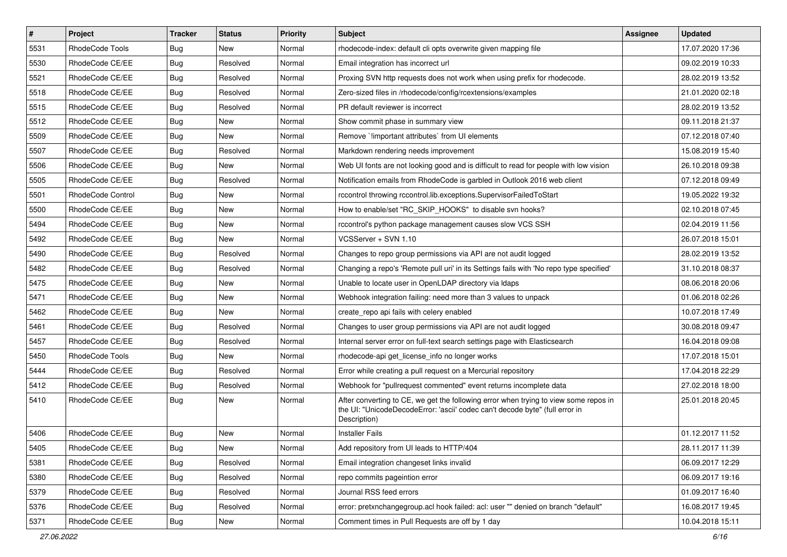| $\sharp$ | Project           | <b>Tracker</b> | <b>Status</b> | <b>Priority</b> | <b>Subject</b>                                                                                                                                                                       | <b>Assignee</b> | <b>Updated</b>   |
|----------|-------------------|----------------|---------------|-----------------|--------------------------------------------------------------------------------------------------------------------------------------------------------------------------------------|-----------------|------------------|
| 5531     | RhodeCode Tools   | Bug            | <b>New</b>    | Normal          | rhodecode-index: default cli opts overwrite given mapping file                                                                                                                       |                 | 17.07.2020 17:36 |
| 5530     | RhodeCode CE/EE   | Bug            | Resolved      | Normal          | Email integration has incorrect url                                                                                                                                                  |                 | 09.02.2019 10:33 |
| 5521     | RhodeCode CE/EE   | Bug            | Resolved      | Normal          | Proxing SVN http requests does not work when using prefix for rhodecode.                                                                                                             |                 | 28.02.2019 13:52 |
| 5518     | RhodeCode CE/EE   | Bug            | Resolved      | Normal          | Zero-sized files in /rhodecode/config/rcextensions/examples                                                                                                                          |                 | 21.01.2020 02:18 |
| 5515     | RhodeCode CE/EE   | <b>Bug</b>     | Resolved      | Normal          | PR default reviewer is incorrect                                                                                                                                                     |                 | 28.02.2019 13:52 |
| 5512     | RhodeCode CE/EE   | Bug            | New           | Normal          | Show commit phase in summary view                                                                                                                                                    |                 | 09.11.2018 21:37 |
| 5509     | RhodeCode CE/EE   | Bug            | New           | Normal          | Remove `!important attributes` from UI elements                                                                                                                                      |                 | 07.12.2018 07:40 |
| 5507     | RhodeCode CE/EE   | <b>Bug</b>     | Resolved      | Normal          | Markdown rendering needs improvement                                                                                                                                                 |                 | 15.08.2019 15:40 |
| 5506     | RhodeCode CE/EE   | Bug            | New           | Normal          | Web UI fonts are not looking good and is difficult to read for people with low vision                                                                                                |                 | 26.10.2018 09:38 |
| 5505     | RhodeCode CE/EE   | Bug            | Resolved      | Normal          | Notification emails from RhodeCode is garbled in Outlook 2016 web client                                                                                                             |                 | 07.12.2018 09:49 |
| 5501     | RhodeCode Control | <b>Bug</b>     | New           | Normal          | rccontrol throwing rccontrol.lib.exceptions.SupervisorFailedToStart                                                                                                                  |                 | 19.05.2022 19:32 |
| 5500     | RhodeCode CE/EE   | Bug            | New           | Normal          | How to enable/set "RC SKIP HOOKS" to disable svn hooks?                                                                                                                              |                 | 02.10.2018 07:45 |
| 5494     | RhodeCode CE/EE   | Bug            | <b>New</b>    | Normal          | rccontrol's python package management causes slow VCS SSH                                                                                                                            |                 | 02.04.2019 11:56 |
| 5492     | RhodeCode CE/EE   | Bug            | New           | Normal          | VCSServer + SVN 1.10                                                                                                                                                                 |                 | 26.07.2018 15:01 |
| 5490     | RhodeCode CE/EE   | <b>Bug</b>     | Resolved      | Normal          | Changes to repo group permissions via API are not audit logged                                                                                                                       |                 | 28.02.2019 13:52 |
| 5482     | RhodeCode CE/EE   | <b>Bug</b>     | Resolved      | Normal          | Changing a repo's 'Remote pull uri' in its Settings fails with 'No repo type specified'                                                                                              |                 | 31.10.2018 08:37 |
| 5475     | RhodeCode CE/EE   | Bug            | New           | Normal          | Unable to locate user in OpenLDAP directory via Idaps                                                                                                                                |                 | 08.06.2018 20:06 |
| 5471     | RhodeCode CE/EE   | Bug            | <b>New</b>    | Normal          | Webhook integration failing: need more than 3 values to unpack                                                                                                                       |                 | 01.06.2018 02:26 |
| 5462     | RhodeCode CE/EE   | Bug            | <b>New</b>    | Normal          | create repo api fails with celery enabled                                                                                                                                            |                 | 10.07.2018 17:49 |
| 5461     | RhodeCode CE/EE   | Bug            | Resolved      | Normal          | Changes to user group permissions via API are not audit logged                                                                                                                       |                 | 30.08.2018 09:47 |
| 5457     | RhodeCode CE/EE   | <b>Bug</b>     | Resolved      | Normal          | Internal server error on full-text search settings page with Elasticsearch                                                                                                           |                 | 16.04.2018 09:08 |
| 5450     | RhodeCode Tools   | <b>Bug</b>     | <b>New</b>    | Normal          | rhodecode-api get license info no longer works                                                                                                                                       |                 | 17.07.2018 15:01 |
| 5444     | RhodeCode CE/EE   | <b>Bug</b>     | Resolved      | Normal          | Error while creating a pull request on a Mercurial repository                                                                                                                        |                 | 17.04.2018 22:29 |
| 5412     | RhodeCode CE/EE   | Bug            | Resolved      | Normal          | Webhook for "pullrequest commented" event returns incomplete data                                                                                                                    |                 | 27.02.2018 18:00 |
| 5410     | RhodeCode CE/EE   | Bug            | New           | Normal          | After converting to CE, we get the following error when trying to view some repos in<br>the UI: "UnicodeDecodeError: 'ascii' codec can't decode byte" (full error in<br>Description) |                 | 25.01.2018 20:45 |
| 5406     | RhodeCode CE/EE   | <b>Bug</b>     | New           | Normal          | <b>Installer Fails</b>                                                                                                                                                               |                 | 01.12.2017 11:52 |
| 5405     | RhodeCode CE/EE   | <b>Bug</b>     | New           | Normal          | Add repository from UI leads to HTTP/404                                                                                                                                             |                 | 28.11.2017 11:39 |
| 5381     | RhodeCode CE/EE   | Bug            | Resolved      | Normal          | Email integration changeset links invalid                                                                                                                                            |                 | 06.09.2017 12:29 |
| 5380     | RhodeCode CE/EE   | Bug            | Resolved      | Normal          | repo commits pageintion error                                                                                                                                                        |                 | 06.09.2017 19:16 |
| 5379     | RhodeCode CE/EE   | <b>Bug</b>     | Resolved      | Normal          | Journal RSS feed errors                                                                                                                                                              |                 | 01.09.2017 16:40 |
| 5376     | RhodeCode CE/EE   | <b>Bug</b>     | Resolved      | Normal          | error: pretxnchangegroup.acl hook failed: acl: user "" denied on branch "default"                                                                                                    |                 | 16.08.2017 19:45 |
| 5371     | RhodeCode CE/EE   | Bug            | New           | Normal          | Comment times in Pull Requests are off by 1 day                                                                                                                                      |                 | 10.04.2018 15:11 |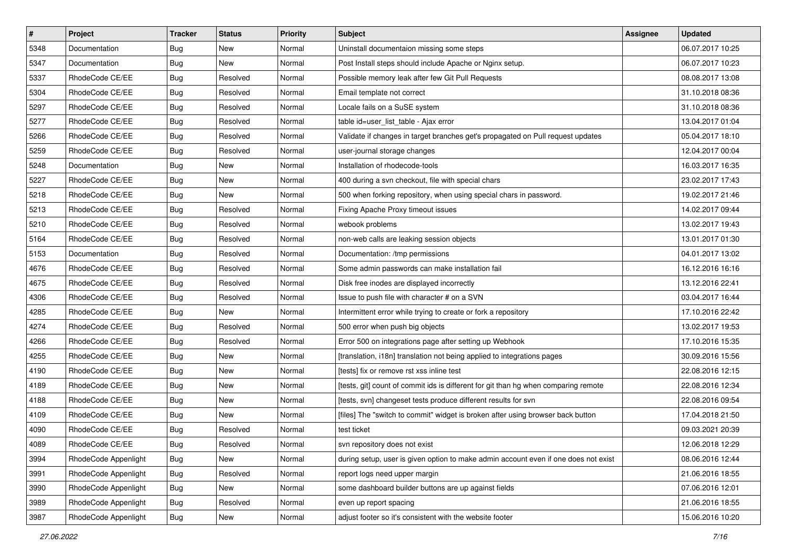| $\pmb{\#}$ | Project              | <b>Tracker</b> | <b>Status</b> | Priority | Subject                                                                             | Assignee | <b>Updated</b>   |
|------------|----------------------|----------------|---------------|----------|-------------------------------------------------------------------------------------|----------|------------------|
| 5348       | Documentation        | <b>Bug</b>     | New           | Normal   | Uninstall documentaion missing some steps                                           |          | 06.07.2017 10:25 |
| 5347       | Documentation        | Bug            | New           | Normal   | Post Install steps should include Apache or Nginx setup.                            |          | 06.07.2017 10:23 |
| 5337       | RhodeCode CE/EE      | <b>Bug</b>     | Resolved      | Normal   | Possible memory leak after few Git Pull Requests                                    |          | 08.08.2017 13:08 |
| 5304       | RhodeCode CE/EE      | <b>Bug</b>     | Resolved      | Normal   | Email template not correct                                                          |          | 31.10.2018 08:36 |
| 5297       | RhodeCode CE/EE      | Bug            | Resolved      | Normal   | Locale fails on a SuSE system                                                       |          | 31.10.2018 08:36 |
| 5277       | RhodeCode CE/EE      | <b>Bug</b>     | Resolved      | Normal   | table id=user_list_table - Ajax error                                               |          | 13.04.2017 01:04 |
| 5266       | RhodeCode CE/EE      | <b>Bug</b>     | Resolved      | Normal   | Validate if changes in target branches get's propagated on Pull request updates     |          | 05.04.2017 18:10 |
| 5259       | RhodeCode CE/EE      | Bug            | Resolved      | Normal   | user-journal storage changes                                                        |          | 12.04.2017 00:04 |
| 5248       | Documentation        | <b>Bug</b>     | New           | Normal   | Installation of rhodecode-tools                                                     |          | 16.03.2017 16:35 |
| 5227       | RhodeCode CE/EE      | <b>Bug</b>     | New           | Normal   | 400 during a svn checkout, file with special chars                                  |          | 23.02.2017 17:43 |
| 5218       | RhodeCode CE/EE      | <b>Bug</b>     | New           | Normal   | 500 when forking repository, when using special chars in password.                  |          | 19.02.2017 21:46 |
| 5213       | RhodeCode CE/EE      | <b>Bug</b>     | Resolved      | Normal   | Fixing Apache Proxy timeout issues                                                  |          | 14.02.2017 09:44 |
| 5210       | RhodeCode CE/EE      | <b>Bug</b>     | Resolved      | Normal   | webook problems                                                                     |          | 13.02.2017 19:43 |
| 5164       | RhodeCode CE/EE      | <b>Bug</b>     | Resolved      | Normal   | non-web calls are leaking session objects                                           |          | 13.01.2017 01:30 |
| 5153       | Documentation        | <b>Bug</b>     | Resolved      | Normal   | Documentation: /tmp permissions                                                     |          | 04.01.2017 13:02 |
| 4676       | RhodeCode CE/EE      | <b>Bug</b>     | Resolved      | Normal   | Some admin passwords can make installation fail                                     |          | 16.12.2016 16:16 |
| 4675       | RhodeCode CE/EE      | <b>Bug</b>     | Resolved      | Normal   | Disk free inodes are displayed incorrectly                                          |          | 13.12.2016 22:41 |
| 4306       | RhodeCode CE/EE      | Bug            | Resolved      | Normal   | Issue to push file with character # on a SVN                                        |          | 03.04.2017 16:44 |
| 4285       | RhodeCode CE/EE      | <b>Bug</b>     | New           | Normal   | Intermittent error while trying to create or fork a repository                      |          | 17.10.2016 22:42 |
| 4274       | RhodeCode CE/EE      | <b>Bug</b>     | Resolved      | Normal   | 500 error when push big objects                                                     |          | 13.02.2017 19:53 |
| 4266       | RhodeCode CE/EE      | Bug            | Resolved      | Normal   | Error 500 on integrations page after setting up Webhook                             |          | 17.10.2016 15:35 |
| 4255       | RhodeCode CE/EE      | <b>Bug</b>     | New           | Normal   | [translation, i18n] translation not being applied to integrations pages             |          | 30.09.2016 15:56 |
| 4190       | RhodeCode CE/EE      | <b>Bug</b>     | <b>New</b>    | Normal   | [tests] fix or remove rst xss inline test                                           |          | 22.08.2016 12:15 |
| 4189       | RhodeCode CE/EE      | <b>Bug</b>     | New           | Normal   | [tests, git] count of commit ids is different for git than hg when comparing remote |          | 22.08.2016 12:34 |
| 4188       | RhodeCode CE/EE      | <b>Bug</b>     | New           | Normal   | [tests, svn] changeset tests produce different results for svn                      |          | 22.08.2016 09:54 |
| 4109       | RhodeCode CE/EE      | <b>Bug</b>     | New           | Normal   | [files] The "switch to commit" widget is broken after using browser back button     |          | 17.04.2018 21:50 |
| 4090       | RhodeCode CE/EE      | <b>Bug</b>     | Resolved      | Normal   | test ticket                                                                         |          | 09.03.2021 20:39 |
| 4089       | RhodeCode CE/EE      | <b>Bug</b>     | Resolved      | Normal   | svn repository does not exist                                                       |          | 12.06.2018 12:29 |
| 3994       | RhodeCode Appenlight | Bug            | New           | Normal   | during setup, user is given option to make admin account even if one does not exist |          | 08.06.2016 12:44 |
| 3991       | RhodeCode Appenlight | Bug            | Resolved      | Normal   | report logs need upper margin                                                       |          | 21.06.2016 18:55 |
| 3990       | RhodeCode Appenlight | <b>Bug</b>     | New           | Normal   | some dashboard builder buttons are up against fields                                |          | 07.06.2016 12:01 |
| 3989       | RhodeCode Appenlight | Bug            | Resolved      | Normal   | even up report spacing                                                              |          | 21.06.2016 18:55 |
| 3987       | RhodeCode Appenlight | Bug            | New           | Normal   | adjust footer so it's consistent with the website footer                            |          | 15.06.2016 10:20 |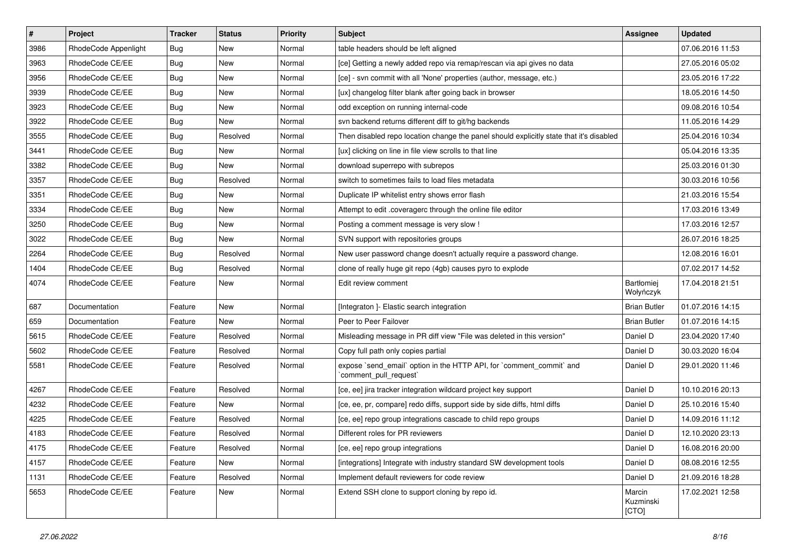| $\overline{\boldsymbol{H}}$ | Project              | <b>Tracker</b> | <b>Status</b> | Priority | <b>Subject</b>                                                                                 | <b>Assignee</b>                | <b>Updated</b>   |
|-----------------------------|----------------------|----------------|---------------|----------|------------------------------------------------------------------------------------------------|--------------------------------|------------------|
| 3986                        | RhodeCode Appenlight | <b>Bug</b>     | New           | Normal   | table headers should be left aligned                                                           |                                | 07.06.2016 11:53 |
| 3963                        | RhodeCode CE/EE      | Bug            | New           | Normal   | [ce] Getting a newly added repo via remap/rescan via api gives no data                         |                                | 27.05.2016 05:02 |
| 3956                        | RhodeCode CE/EE      | <b>Bug</b>     | New           | Normal   | [ce] - svn commit with all 'None' properties (author, message, etc.)                           |                                | 23.05.2016 17:22 |
| 3939                        | RhodeCode CE/EE      | <b>Bug</b>     | New           | Normal   | [ux] changelog filter blank after going back in browser                                        |                                | 18.05.2016 14:50 |
| 3923                        | RhodeCode CE/EE      | Bug            | <b>New</b>    | Normal   | odd exception on running internal-code                                                         |                                | 09.08.2016 10:54 |
| 3922                        | RhodeCode CE/EE      | <b>Bug</b>     | New           | Normal   | svn backend returns different diff to git/hg backends                                          |                                | 11.05.2016 14:29 |
| 3555                        | RhodeCode CE/EE      | Bug            | Resolved      | Normal   | Then disabled repo location change the panel should explicitly state that it's disabled        |                                | 25.04.2016 10:34 |
| 3441                        | RhodeCode CE/EE      | Bug            | New           | Normal   | [ux] clicking on line in file view scrolls to that line                                        |                                | 05.04.2016 13:35 |
| 3382                        | RhodeCode CE/EE      | <b>Bug</b>     | <b>New</b>    | Normal   | download superrepo with subrepos                                                               |                                | 25.03.2016 01:30 |
| 3357                        | RhodeCode CE/EE      | Bug            | Resolved      | Normal   | switch to sometimes fails to load files metadata                                               |                                | 30.03.2016 10:56 |
| 3351                        | RhodeCode CE/EE      | Bug            | New           | Normal   | Duplicate IP whitelist entry shows error flash                                                 |                                | 21.03.2016 15:54 |
| 3334                        | RhodeCode CE/EE      | Bug            | New           | Normal   | Attempt to edit .coveragerc through the online file editor                                     |                                | 17.03.2016 13:49 |
| 3250                        | RhodeCode CE/EE      | Bug            | New           | Normal   | Posting a comment message is very slow !                                                       |                                | 17.03.2016 12:57 |
| 3022                        | RhodeCode CE/EE      | <b>Bug</b>     | New           | Normal   | SVN support with repositories groups                                                           |                                | 26.07.2016 18:25 |
| 2264                        | RhodeCode CE/EE      | <b>Bug</b>     | Resolved      | Normal   | New user password change doesn't actually require a password change.                           |                                | 12.08.2016 16:01 |
| 1404                        | RhodeCode CE/EE      | Bug            | Resolved      | Normal   | clone of really huge git repo (4gb) causes pyro to explode                                     |                                | 07.02.2017 14:52 |
| 4074                        | RhodeCode CE/EE      | Feature        | New           | Normal   | Edit review comment                                                                            | <b>Bartłomiej</b><br>Wołyńczyk | 17.04.2018 21:51 |
| 687                         | Documentation        | Feature        | <b>New</b>    | Normal   | [Integraton] - Elastic search integration                                                      | <b>Brian Butler</b>            | 01.07.2016 14:15 |
| 659                         | Documentation        | Feature        | New           | Normal   | Peer to Peer Failover                                                                          | <b>Brian Butler</b>            | 01.07.2016 14:15 |
| 5615                        | RhodeCode CE/EE      | Feature        | Resolved      | Normal   | Misleading message in PR diff view "File was deleted in this version"                          | Daniel D                       | 23.04.2020 17:40 |
| 5602                        | RhodeCode CE/EE      | Feature        | Resolved      | Normal   | Copy full path only copies partial                                                             | Daniel D                       | 30.03.2020 16:04 |
| 5581                        | RhodeCode CE/EE      | Feature        | Resolved      | Normal   | expose `send_email` option in the HTTP API, for `comment_commit` and<br>`comment_pull_request` | Daniel D                       | 29.01.2020 11:46 |
| 4267                        | RhodeCode CE/EE      | Feature        | Resolved      | Normal   | [ce, ee] jira tracker integration wildcard project key support                                 | Daniel D                       | 10.10.2016 20:13 |
| 4232                        | RhodeCode CE/EE      | Feature        | <b>New</b>    | Normal   | [ce, ee, pr, compare] redo diffs, support side by side diffs, html diffs                       | Daniel D                       | 25.10.2016 15:40 |
| 4225                        | RhodeCode CE/EE      | Feature        | Resolved      | Normal   | [ce, ee] repo group integrations cascade to child repo groups                                  | Daniel D                       | 14.09.2016 11:12 |
| 4183                        | RhodeCode CE/EE      | Feature        | Resolved      | Normal   | Different roles for PR reviewers                                                               | Daniel D                       | 12.10.2020 23:13 |
| 4175                        | RhodeCode CE/EE      | Feature        | Resolved      | Normal   | [ce, ee] repo group integrations                                                               | Daniel D                       | 16.08.2016 20:00 |
| 4157                        | RhodeCode CE/EE      | Feature        | <b>New</b>    | Normal   | [integrations] Integrate with industry standard SW development tools                           | Daniel D                       | 08.08.2016 12:55 |
| 1131                        | RhodeCode CE/EE      | Feature        | Resolved      | Normal   | Implement default reviewers for code review                                                    | Daniel D                       | 21.09.2016 18:28 |
| 5653                        | RhodeCode CE/EE      | Feature        | New           | Normal   | Extend SSH clone to support cloning by repo id.                                                | Marcin<br>Kuzminski<br>[CTO]   | 17.02.2021 12:58 |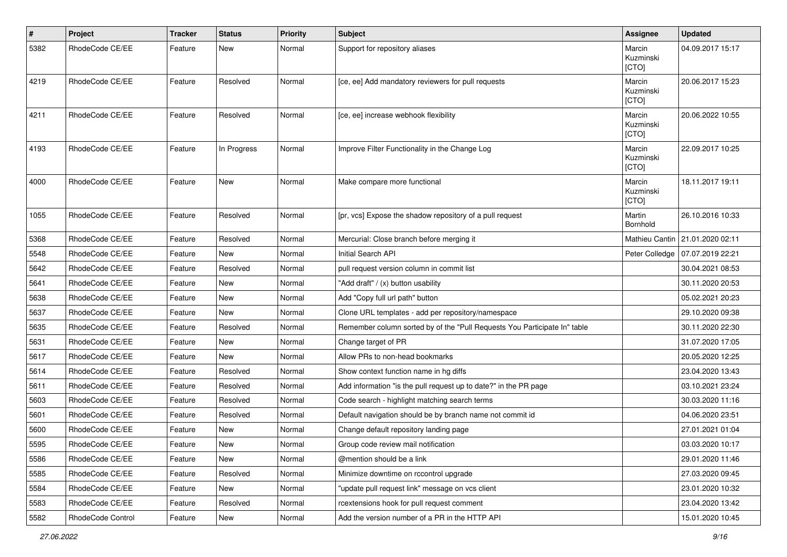| #    | Project           | <b>Tracker</b> | <b>Status</b> | <b>Priority</b> | <b>Subject</b>                                                            | Assignee                     | <b>Updated</b>                  |
|------|-------------------|----------------|---------------|-----------------|---------------------------------------------------------------------------|------------------------------|---------------------------------|
| 5382 | RhodeCode CE/EE   | Feature        | New           | Normal          | Support for repository aliases                                            | Marcin<br>Kuzminski<br>[CTO] | 04.09.2017 15:17                |
| 4219 | RhodeCode CE/EE   | Feature        | Resolved      | Normal          | [ce, ee] Add mandatory reviewers for pull requests                        | Marcin<br>Kuzminski<br>[CTO] | 20.06.2017 15:23                |
| 4211 | RhodeCode CE/EE   | Feature        | Resolved      | Normal          | [ce, ee] increase webhook flexibility                                     | Marcin<br>Kuzminski<br>[CTO] | 20.06.2022 10:55                |
| 4193 | RhodeCode CE/EE   | Feature        | In Progress   | Normal          | Improve Filter Functionality in the Change Log                            | Marcin<br>Kuzminski<br>[CTO] | 22.09.2017 10:25                |
| 4000 | RhodeCode CE/EE   | Feature        | <b>New</b>    | Normal          | Make compare more functional                                              | Marcin<br>Kuzminski<br>[CTO] | 18.11.2017 19:11                |
| 1055 | RhodeCode CE/EE   | Feature        | Resolved      | Normal          | [pr, vcs] Expose the shadow repository of a pull request                  | Martin<br>Bornhold           | 26.10.2016 10:33                |
| 5368 | RhodeCode CE/EE   | Feature        | Resolved      | Normal          | Mercurial: Close branch before merging it                                 |                              | Mathieu Cantin 21.01.2020 02:11 |
| 5548 | RhodeCode CE/EE   | Feature        | <b>New</b>    | Normal          | Initial Search API                                                        | Peter Colledge               | 07.07.2019 22:21                |
| 5642 | RhodeCode CE/EE   | Feature        | Resolved      | Normal          | pull request version column in commit list                                |                              | 30.04.2021 08:53                |
| 5641 | RhodeCode CE/EE   | Feature        | New           | Normal          | "Add draft" / (x) button usability                                        |                              | 30.11.2020 20:53                |
| 5638 | RhodeCode CE/EE   | Feature        | <b>New</b>    | Normal          | Add "Copy full url path" button                                           |                              | 05.02.2021 20:23                |
| 5637 | RhodeCode CE/EE   | Feature        | New           | Normal          | Clone URL templates - add per repository/namespace                        |                              | 29.10.2020 09:38                |
| 5635 | RhodeCode CE/EE   | Feature        | Resolved      | Normal          | Remember column sorted by of the "Pull Requests You Participate In" table |                              | 30.11.2020 22:30                |
| 5631 | RhodeCode CE/EE   | Feature        | New           | Normal          | Change target of PR                                                       |                              | 31.07.2020 17:05                |
| 5617 | RhodeCode CE/EE   | Feature        | New           | Normal          | Allow PRs to non-head bookmarks                                           |                              | 20.05.2020 12:25                |
| 5614 | RhodeCode CE/EE   | Feature        | Resolved      | Normal          | Show context function name in hg diffs                                    |                              | 23.04.2020 13:43                |
| 5611 | RhodeCode CE/EE   | Feature        | Resolved      | Normal          | Add information "is the pull request up to date?" in the PR page          |                              | 03.10.2021 23:24                |
| 5603 | RhodeCode CE/EE   | Feature        | Resolved      | Normal          | Code search - highlight matching search terms                             |                              | 30.03.2020 11:16                |
| 5601 | RhodeCode CE/EE   | Feature        | Resolved      | Normal          | Default navigation should be by branch name not commit id                 |                              | 04.06.2020 23:51                |
| 5600 | RhodeCode CE/EE   | Feature        | New           | Normal          | Change default repository landing page                                    |                              | 27.01.2021 01:04                |
| 5595 | RhodeCode CE/EE   | Feature        | New           | Normal          | Group code review mail notification                                       |                              | 03.03.2020 10:17                |
| 5586 | RhodeCode CE/EE   | Feature        | New           | Normal          | @mention should be a link                                                 |                              | 29.01.2020 11:46                |
| 5585 | RhodeCode CE/EE   | Feature        | Resolved      | Normal          | Minimize downtime on rccontrol upgrade                                    |                              | 27.03.2020 09:45                |
| 5584 | RhodeCode CE/EE   | Feature        | New           | Normal          | "update pull request link" message on vcs client                          |                              | 23.01.2020 10:32                |
| 5583 | RhodeCode CE/EE   | Feature        | Resolved      | Normal          | rcextensions hook for pull request comment                                |                              | 23.04.2020 13:42                |
| 5582 | RhodeCode Control | Feature        | New           | Normal          | Add the version number of a PR in the HTTP API                            |                              | 15.01.2020 10:45                |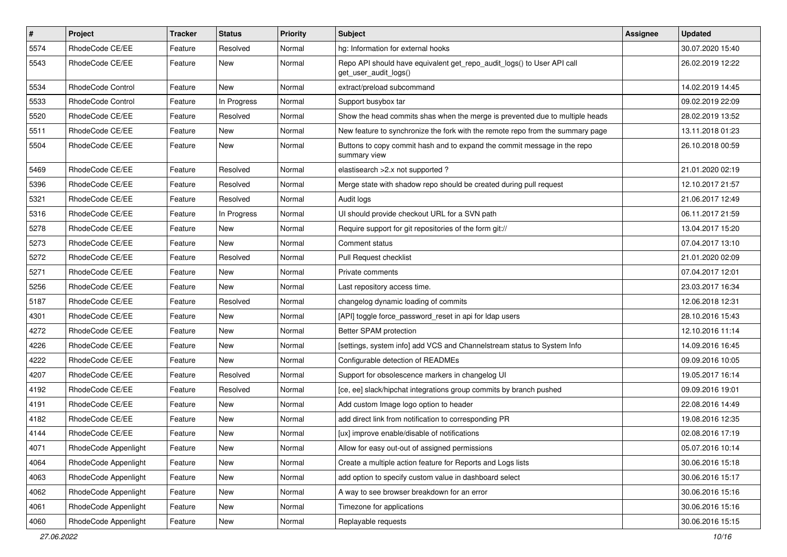| $\vert$ # | Project              | <b>Tracker</b> | <b>Status</b> | <b>Priority</b> | <b>Subject</b>                                                                                  | <b>Assignee</b> | <b>Updated</b>   |
|-----------|----------------------|----------------|---------------|-----------------|-------------------------------------------------------------------------------------------------|-----------------|------------------|
| 5574      | RhodeCode CE/EE      | Feature        | Resolved      | Normal          | hg: Information for external hooks                                                              |                 | 30.07.2020 15:40 |
| 5543      | RhodeCode CE/EE      | Feature        | New           | Normal          | Repo API should have equivalent get_repo_audit_logs() to User API call<br>get user audit logs() |                 | 26.02.2019 12:22 |
| 5534      | RhodeCode Control    | Feature        | <b>New</b>    | Normal          | extract/preload subcommand                                                                      |                 | 14.02.2019 14:45 |
| 5533      | RhodeCode Control    | Feature        | In Progress   | Normal          | Support busybox tar                                                                             |                 | 09.02.2019 22:09 |
| 5520      | RhodeCode CE/EE      | Feature        | Resolved      | Normal          | Show the head commits shas when the merge is prevented due to multiple heads                    |                 | 28.02.2019 13:52 |
| 5511      | RhodeCode CE/EE      | Feature        | New           | Normal          | New feature to synchronize the fork with the remote repo from the summary page                  |                 | 13.11.2018 01:23 |
| 5504      | RhodeCode CE/EE      | Feature        | New           | Normal          | Buttons to copy commit hash and to expand the commit message in the repo<br>summary view        |                 | 26.10.2018 00:59 |
| 5469      | RhodeCode CE/EE      | Feature        | Resolved      | Normal          | elastisearch > 2.x not supported?                                                               |                 | 21.01.2020 02:19 |
| 5396      | RhodeCode CE/EE      | Feature        | Resolved      | Normal          | Merge state with shadow repo should be created during pull request                              |                 | 12.10.2017 21:57 |
| 5321      | RhodeCode CE/EE      | Feature        | Resolved      | Normal          | Audit logs                                                                                      |                 | 21.06.2017 12:49 |
| 5316      | RhodeCode CE/EE      | Feature        | In Progress   | Normal          | UI should provide checkout URL for a SVN path                                                   |                 | 06.11.2017 21:59 |
| 5278      | RhodeCode CE/EE      | Feature        | New           | Normal          | Require support for git repositories of the form git://                                         |                 | 13.04.2017 15:20 |
| 5273      | RhodeCode CE/EE      | Feature        | New           | Normal          | Comment status                                                                                  |                 | 07.04.2017 13:10 |
| 5272      | RhodeCode CE/EE      | Feature        | Resolved      | Normal          | Pull Request checklist                                                                          |                 | 21.01.2020 02:09 |
| 5271      | RhodeCode CE/EE      | Feature        | New           | Normal          | Private comments                                                                                |                 | 07.04.2017 12:01 |
| 5256      | RhodeCode CE/EE      | Feature        | New           | Normal          | Last repository access time.                                                                    |                 | 23.03.2017 16:34 |
| 5187      | RhodeCode CE/EE      | Feature        | Resolved      | Normal          | changelog dynamic loading of commits                                                            |                 | 12.06.2018 12:31 |
| 4301      | RhodeCode CE/EE      | Feature        | New           | Normal          | [API] toggle force_password_reset in api for Idap users                                         |                 | 28.10.2016 15:43 |
| 4272      | RhodeCode CE/EE      | Feature        | New           | Normal          | Better SPAM protection                                                                          |                 | 12.10.2016 11:14 |
| 4226      | RhodeCode CE/EE      | Feature        | New           | Normal          | [settings, system info] add VCS and Channelstream status to System Info                         |                 | 14.09.2016 16:45 |
| 4222      | RhodeCode CE/EE      | Feature        | <b>New</b>    | Normal          | Configurable detection of READMEs                                                               |                 | 09.09.2016 10:05 |
| 4207      | RhodeCode CE/EE      | Feature        | Resolved      | Normal          | Support for obsolescence markers in changelog UI                                                |                 | 19.05.2017 16:14 |
| 4192      | RhodeCode CE/EE      | Feature        | Resolved      | Normal          | [ce, ee] slack/hipchat integrations group commits by branch pushed                              |                 | 09.09.2016 19:01 |
| 4191      | RhodeCode CE/EE      | Feature        | New           | Normal          | Add custom Image logo option to header                                                          |                 | 22.08.2016 14:49 |
| 4182      | RhodeCode CE/EE      | Feature        | New           | Normal          | add direct link from notification to corresponding PR                                           |                 | 19.08.2016 12:35 |
| 4144      | RhodeCode CE/EE      | Feature        | New           | Normal          | [ux] improve enable/disable of notifications                                                    |                 | 02.08.2016 17:19 |
| 4071      | RhodeCode Appenlight | Feature        | New           | Normal          | Allow for easy out-out of assigned permissions                                                  |                 | 05.07.2016 10:14 |
| 4064      | RhodeCode Appenlight | Feature        | New           | Normal          | Create a multiple action feature for Reports and Logs lists                                     |                 | 30.06.2016 15:18 |
| 4063      | RhodeCode Appenlight | Feature        | New           | Normal          | add option to specify custom value in dashboard select                                          |                 | 30.06.2016 15:17 |
| 4062      | RhodeCode Appenlight | Feature        | New           | Normal          | A way to see browser breakdown for an error                                                     |                 | 30.06.2016 15:16 |
| 4061      | RhodeCode Appenlight | Feature        | New           | Normal          | Timezone for applications                                                                       |                 | 30.06.2016 15:16 |
| 4060      | RhodeCode Appenlight | Feature        | New           | Normal          | Replayable requests                                                                             |                 | 30.06.2016 15:15 |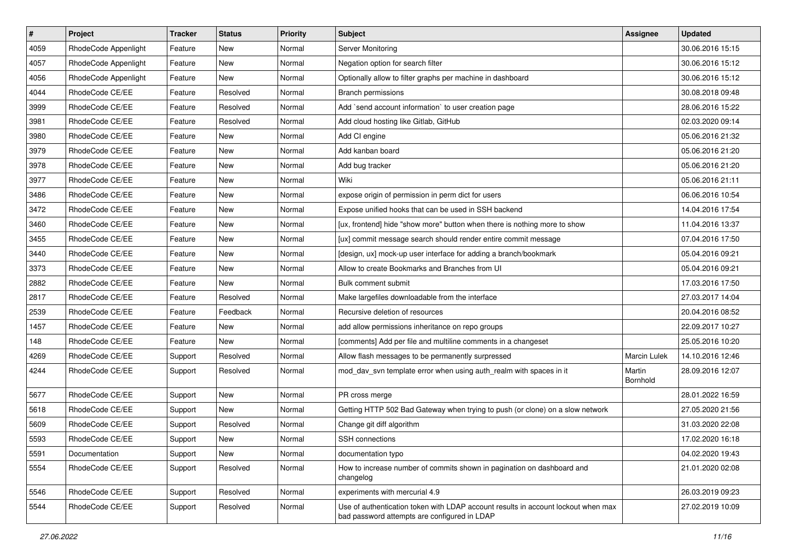| $\#$ | Project              | <b>Tracker</b> | <b>Status</b> | <b>Priority</b> | Subject                                                                                                                           | Assignee            | <b>Updated</b>   |
|------|----------------------|----------------|---------------|-----------------|-----------------------------------------------------------------------------------------------------------------------------------|---------------------|------------------|
| 4059 | RhodeCode Appenlight | Feature        | New           | Normal          | Server Monitoring                                                                                                                 |                     | 30.06.2016 15:15 |
| 4057 | RhodeCode Appenlight | Feature        | <b>New</b>    | Normal          | Negation option for search filter                                                                                                 |                     | 30.06.2016 15:12 |
| 4056 | RhodeCode Appenlight | Feature        | New           | Normal          | Optionally allow to filter graphs per machine in dashboard                                                                        |                     | 30.06.2016 15:12 |
| 4044 | RhodeCode CE/EE      | Feature        | Resolved      | Normal          | Branch permissions                                                                                                                |                     | 30.08.2018 09:48 |
| 3999 | RhodeCode CE/EE      | Feature        | Resolved      | Normal          | Add `send account information` to user creation page                                                                              |                     | 28.06.2016 15:22 |
| 3981 | RhodeCode CE/EE      | Feature        | Resolved      | Normal          | Add cloud hosting like Gitlab, GitHub                                                                                             |                     | 02.03.2020 09:14 |
| 3980 | RhodeCode CE/EE      | Feature        | New           | Normal          | Add CI engine                                                                                                                     |                     | 05.06.2016 21:32 |
| 3979 | RhodeCode CE/EE      | Feature        | New           | Normal          | Add kanban board                                                                                                                  |                     | 05.06.2016 21:20 |
| 3978 | RhodeCode CE/EE      | Feature        | New           | Normal          | Add bug tracker                                                                                                                   |                     | 05.06.2016 21:20 |
| 3977 | RhodeCode CE/EE      | Feature        | New           | Normal          | Wiki                                                                                                                              |                     | 05.06.2016 21:11 |
| 3486 | RhodeCode CE/EE      | Feature        | New           | Normal          | expose origin of permission in perm dict for users                                                                                |                     | 06.06.2016 10:54 |
| 3472 | RhodeCode CE/EE      | Feature        | New           | Normal          | Expose unified hooks that can be used in SSH backend                                                                              |                     | 14.04.2016 17:54 |
| 3460 | RhodeCode CE/EE      | Feature        | New           | Normal          | [ux, frontend] hide "show more" button when there is nothing more to show                                                         |                     | 11.04.2016 13:37 |
| 3455 | RhodeCode CE/EE      | Feature        | New           | Normal          | [ux] commit message search should render entire commit message                                                                    |                     | 07.04.2016 17:50 |
| 3440 | RhodeCode CE/EE      | Feature        | New           | Normal          | [design, ux] mock-up user interface for adding a branch/bookmark                                                                  |                     | 05.04.2016 09:21 |
| 3373 | RhodeCode CE/EE      | Feature        | New           | Normal          | Allow to create Bookmarks and Branches from UI                                                                                    |                     | 05.04.2016 09:21 |
| 2882 | RhodeCode CE/EE      | Feature        | New           | Normal          | Bulk comment submit                                                                                                               |                     | 17.03.2016 17:50 |
| 2817 | RhodeCode CE/EE      | Feature        | Resolved      | Normal          | Make largefiles downloadable from the interface                                                                                   |                     | 27.03.2017 14:04 |
| 2539 | RhodeCode CE/EE      | Feature        | Feedback      | Normal          | Recursive deletion of resources                                                                                                   |                     | 20.04.2016 08:52 |
| 1457 | RhodeCode CE/EE      | Feature        | <b>New</b>    | Normal          | add allow permissions inheritance on repo groups                                                                                  |                     | 22.09.2017 10:27 |
| 148  | RhodeCode CE/EE      | Feature        | New           | Normal          | [comments] Add per file and multiline comments in a changeset                                                                     |                     | 25.05.2016 10:20 |
| 4269 | RhodeCode CE/EE      | Support        | Resolved      | Normal          | Allow flash messages to be permanently surpressed                                                                                 | <b>Marcin Lulek</b> | 14.10.2016 12:46 |
| 4244 | RhodeCode CE/EE      | Support        | Resolved      | Normal          | mod_dav_svn template error when using auth_realm with spaces in it                                                                | Martin<br>Bornhold  | 28.09.2016 12:07 |
| 5677 | RhodeCode CE/EE      | Support        | New           | Normal          | PR cross merge                                                                                                                    |                     | 28.01.2022 16:59 |
| 5618 | RhodeCode CE/EE      | Support        | New           | Normal          | Getting HTTP 502 Bad Gateway when trying to push (or clone) on a slow network                                                     |                     | 27.05.2020 21:56 |
| 5609 | RhodeCode CE/EE      | Support        | Resolved      | Normal          | Change git diff algorithm                                                                                                         |                     | 31.03.2020 22:08 |
| 5593 | RhodeCode CE/EE      | Support        | New           | Normal          | SSH connections                                                                                                                   |                     | 17.02.2020 16:18 |
| 5591 | Documentation        | Support        | New           | Normal          | documentation typo                                                                                                                |                     | 04.02.2020 19:43 |
| 5554 | RhodeCode CE/EE      | Support        | Resolved      | Normal          | How to increase number of commits shown in pagination on dashboard and<br>changelog                                               |                     | 21.01.2020 02:08 |
| 5546 | RhodeCode CE/EE      | Support        | Resolved      | Normal          | experiments with mercurial 4.9                                                                                                    |                     | 26.03.2019 09:23 |
| 5544 | RhodeCode CE/EE      | Support        | Resolved      | Normal          | Use of authentication token with LDAP account results in account lockout when max<br>bad password attempts are configured in LDAP |                     | 27.02.2019 10:09 |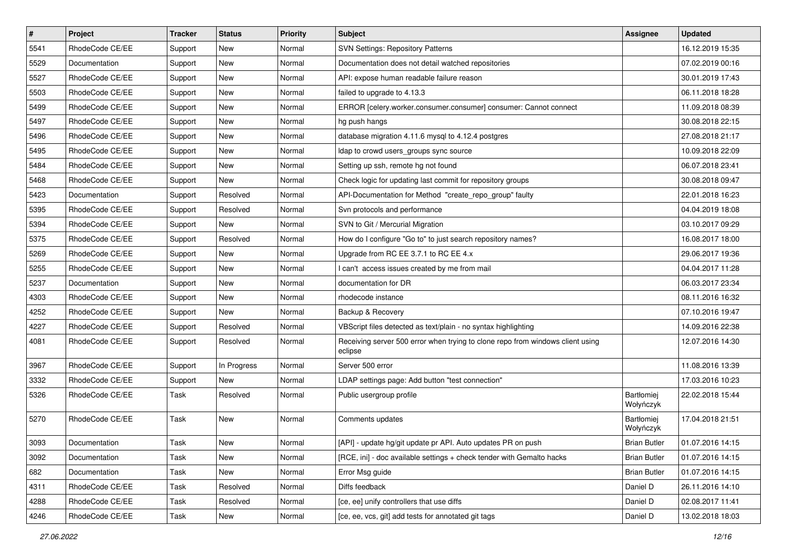| $\pmb{\#}$ | Project         | <b>Tracker</b> | <b>Status</b> | <b>Priority</b> | Subject                                                                                   | <b>Assignee</b>         | <b>Updated</b>   |
|------------|-----------------|----------------|---------------|-----------------|-------------------------------------------------------------------------------------------|-------------------------|------------------|
| 5541       | RhodeCode CE/EE | Support        | <b>New</b>    | Normal          | SVN Settings: Repository Patterns                                                         |                         | 16.12.2019 15:35 |
| 5529       | Documentation   | Support        | New           | Normal          | Documentation does not detail watched repositories                                        |                         | 07.02.2019 00:16 |
| 5527       | RhodeCode CE/EE | Support        | New           | Normal          | API: expose human readable failure reason                                                 |                         | 30.01.2019 17:43 |
| 5503       | RhodeCode CE/EE | Support        | New           | Normal          | failed to upgrade to 4.13.3                                                               |                         | 06.11.2018 18:28 |
| 5499       | RhodeCode CE/EE | Support        | <b>New</b>    | Normal          | ERROR [celery.worker.consumer.consumer] consumer: Cannot connect                          |                         | 11.09.2018 08:39 |
| 5497       | RhodeCode CE/EE | Support        | <b>New</b>    | Normal          | hg push hangs                                                                             |                         | 30.08.2018 22:15 |
| 5496       | RhodeCode CE/EE | Support        | <b>New</b>    | Normal          | database migration 4.11.6 mysql to 4.12.4 postgres                                        |                         | 27.08.2018 21:17 |
| 5495       | RhodeCode CE/EE | Support        | New           | Normal          | Idap to crowd users_groups sync source                                                    |                         | 10.09.2018 22:09 |
| 5484       | RhodeCode CE/EE | Support        | <b>New</b>    | Normal          | Setting up ssh, remote hg not found                                                       |                         | 06.07.2018 23:41 |
| 5468       | RhodeCode CE/EE | Support        | New           | Normal          | Check logic for updating last commit for repository groups                                |                         | 30.08.2018 09:47 |
| 5423       | Documentation   | Support        | Resolved      | Normal          | API-Documentation for Method "create_repo_group" faulty                                   |                         | 22.01.2018 16:23 |
| 5395       | RhodeCode CE/EE | Support        | Resolved      | Normal          | Svn protocols and performance                                                             |                         | 04.04.2019 18:08 |
| 5394       | RhodeCode CE/EE | Support        | <b>New</b>    | Normal          | SVN to Git / Mercurial Migration                                                          |                         | 03.10.2017 09:29 |
| 5375       | RhodeCode CE/EE | Support        | Resolved      | Normal          | How do I configure "Go to" to just search repository names?                               |                         | 16.08.2017 18:00 |
| 5269       | RhodeCode CE/EE | Support        | <b>New</b>    | Normal          | Upgrade from RC EE 3.7.1 to RC EE 4.x                                                     |                         | 29.06.2017 19:36 |
| 5255       | RhodeCode CE/EE | Support        | New           | Normal          | I can't access issues created by me from mail                                             |                         | 04.04.2017 11:28 |
| 5237       | Documentation   | Support        | New           | Normal          | documentation for DR                                                                      |                         | 06.03.2017 23:34 |
| 4303       | RhodeCode CE/EE | Support        | <b>New</b>    | Normal          | rhodecode instance                                                                        |                         | 08.11.2016 16:32 |
| 4252       | RhodeCode CE/EE | Support        | <b>New</b>    | Normal          | Backup & Recovery                                                                         |                         | 07.10.2016 19:47 |
| 4227       | RhodeCode CE/EE | Support        | Resolved      | Normal          | VBScript files detected as text/plain - no syntax highlighting                            |                         | 14.09.2016 22:38 |
| 4081       | RhodeCode CE/EE | Support        | Resolved      | Normal          | Receiving server 500 error when trying to clone repo from windows client using<br>eclipse |                         | 12.07.2016 14:30 |
| 3967       | RhodeCode CE/EE | Support        | In Progress   | Normal          | Server 500 error                                                                          |                         | 11.08.2016 13:39 |
| 3332       | RhodeCode CE/EE | Support        | <b>New</b>    | Normal          | LDAP settings page: Add button "test connection"                                          |                         | 17.03.2016 10:23 |
| 5326       | RhodeCode CE/EE | Task           | Resolved      | Normal          | Public usergroup profile                                                                  | Bartłomiej<br>Wołyńczyk | 22.02.2018 15:44 |
| 5270       | RhodeCode CE/EE | Task           | <b>New</b>    | Normal          | Comments updates                                                                          | Bartłomiej<br>Wołyńczyk | 17.04.2018 21:51 |
| 3093       | Documentation   | Task           | New           | Normal          | [API] - update hg/git update pr API. Auto updates PR on push                              | <b>Brian Butler</b>     | 01.07.2016 14:15 |
| 3092       | Documentation   | Task           | New           | Normal          | [RCE, ini] - doc available settings + check tender with Gemalto hacks                     | <b>Brian Butler</b>     | 01.07.2016 14:15 |
| 682        | Documentation   | Task           | New           | Normal          | Error Msg guide                                                                           | <b>Brian Butler</b>     | 01.07.2016 14:15 |
| 4311       | RhodeCode CE/EE | Task           | Resolved      | Normal          | Diffs feedback                                                                            | Daniel D                | 26.11.2016 14:10 |
| 4288       | RhodeCode CE/EE | Task           | Resolved      | Normal          | [ce, ee] unify controllers that use diffs                                                 | Daniel D                | 02.08.2017 11:41 |
| 4246       | RhodeCode CE/EE | Task           | New           | Normal          | [ce, ee, vcs, git] add tests for annotated git tags                                       | Daniel D                | 13.02.2018 18:03 |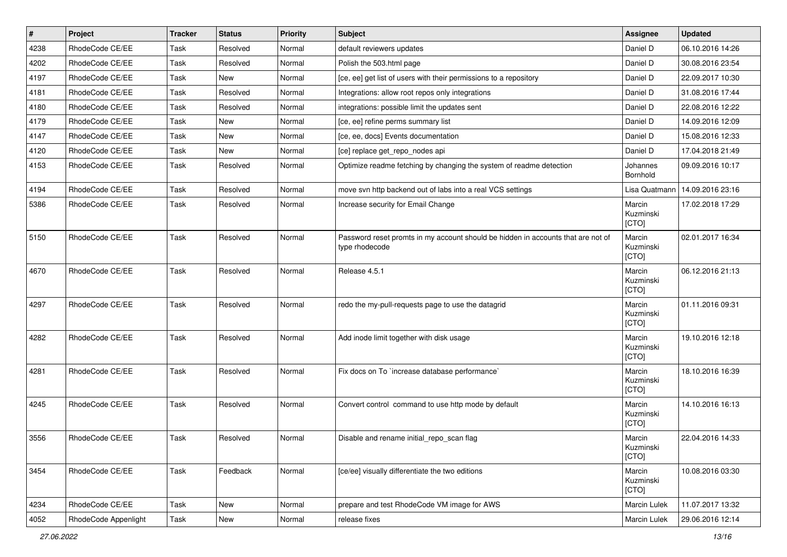| $\vert$ # | Project              | Tracker | <b>Status</b> | <b>Priority</b> | <b>Subject</b>                                                                                     | <b>Assignee</b>              | <b>Updated</b>   |
|-----------|----------------------|---------|---------------|-----------------|----------------------------------------------------------------------------------------------------|------------------------------|------------------|
| 4238      | RhodeCode CE/EE      | Task    | Resolved      | Normal          | default reviewers updates                                                                          | Daniel D                     | 06.10.2016 14:26 |
| 4202      | RhodeCode CE/EE      | Task    | Resolved      | Normal          | Polish the 503.html page                                                                           | Daniel D                     | 30.08.2016 23:54 |
| 4197      | RhodeCode CE/EE      | Task    | New           | Normal          | [ce, ee] get list of users with their permissions to a repository                                  | Daniel D                     | 22.09.2017 10:30 |
| 4181      | RhodeCode CE/EE      | Task    | Resolved      | Normal          | Integrations: allow root repos only integrations                                                   | Daniel D                     | 31.08.2016 17:44 |
| 4180      | RhodeCode CE/EE      | Task    | Resolved      | Normal          | integrations: possible limit the updates sent                                                      | Daniel D                     | 22.08.2016 12:22 |
| 4179      | RhodeCode CE/EE      | Task    | New           | Normal          | [ce, ee] refine perms summary list                                                                 | Daniel D                     | 14.09.2016 12:09 |
| 4147      | RhodeCode CE/EE      | Task    | <b>New</b>    | Normal          | [ce, ee, docs] Events documentation                                                                | Daniel D                     | 15.08.2016 12:33 |
| 4120      | RhodeCode CE/EE      | Task    | <b>New</b>    | Normal          | [ce] replace get_repo_nodes api                                                                    | Daniel D                     | 17.04.2018 21:49 |
| 4153      | RhodeCode CE/EE      | Task    | Resolved      | Normal          | Optimize readme fetching by changing the system of readme detection                                | Johannes<br>Bornhold         | 09.09.2016 10:17 |
| 4194      | RhodeCode CE/EE      | Task    | Resolved      | Normal          | move svn http backend out of labs into a real VCS settings                                         | Lisa Quatmann                | 14.09.2016 23:16 |
| 5386      | RhodeCode CE/EE      | Task    | Resolved      | Normal          | Increase security for Email Change                                                                 | Marcin<br>Kuzminski<br>[CTO] | 17.02.2018 17:29 |
| 5150      | RhodeCode CE/EE      | Task    | Resolved      | Normal          | Password reset promts in my account should be hidden in accounts that are not of<br>type rhodecode | Marcin<br>Kuzminski<br>[CTO] | 02.01.2017 16:34 |
| 4670      | RhodeCode CE/EE      | Task    | Resolved      | Normal          | Release 4.5.1                                                                                      | Marcin<br>Kuzminski<br>[CTO] | 06.12.2016 21:13 |
| 4297      | RhodeCode CE/EE      | Task    | Resolved      | Normal          | redo the my-pull-requests page to use the datagrid                                                 | Marcin<br>Kuzminski<br>[CTO] | 01.11.2016 09:31 |
| 4282      | RhodeCode CE/EE      | Task    | Resolved      | Normal          | Add inode limit together with disk usage                                                           | Marcin<br>Kuzminski<br>[CTO] | 19.10.2016 12:18 |
| 4281      | RhodeCode CE/EE      | Task    | Resolved      | Normal          | Fix docs on To `increase database performance`                                                     | Marcin<br>Kuzminski<br>[CTO] | 18.10.2016 16:39 |
| 4245      | RhodeCode CE/EE      | Task    | Resolved      | Normal          | Convert control command to use http mode by default                                                | Marcin<br>Kuzminski<br>[CTO] | 14.10.2016 16:13 |
| 3556      | RhodeCode CE/EE      | Task    | Resolved      | Normal          | Disable and rename initial repo scan flag                                                          | Marcin<br>Kuzminski<br>[CTO] | 22.04.2016 14:33 |
| 3454      | RhodeCode CE/EE      | Task    | Feedback      | Normal          | [ce/ee] visually differentiate the two editions                                                    | Marcin<br>Kuzminski<br>[CTO] | 10.08.2016 03:30 |
| 4234      | RhodeCode CE/EE      | Task    | <b>New</b>    | Normal          | prepare and test RhodeCode VM image for AWS                                                        | Marcin Lulek                 | 11.07.2017 13:32 |
| 4052      | RhodeCode Appenlight | Task    | New           | Normal          | release fixes                                                                                      | Marcin Lulek                 | 29.06.2016 12:14 |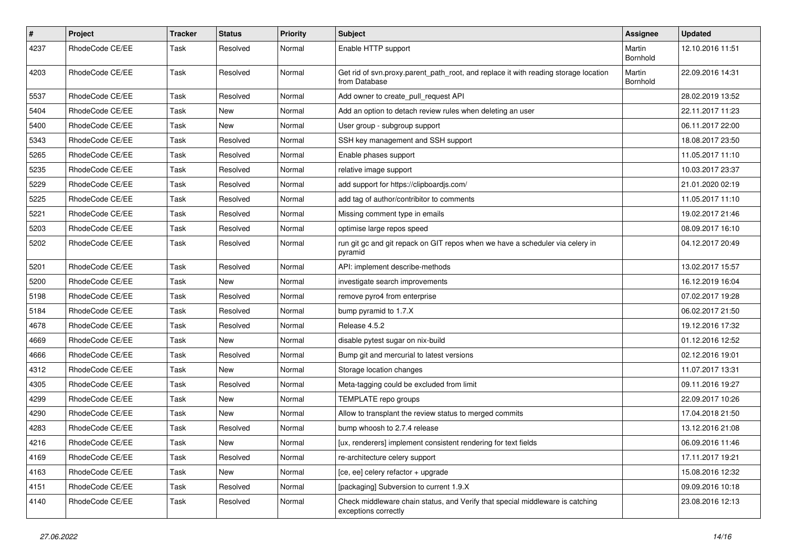| $\pmb{\#}$ | Project         | <b>Tracker</b> | <b>Status</b> | <b>Priority</b> | Subject                                                                                               | Assignee           | <b>Updated</b>   |
|------------|-----------------|----------------|---------------|-----------------|-------------------------------------------------------------------------------------------------------|--------------------|------------------|
| 4237       | RhodeCode CE/EE | Task           | Resolved      | Normal          | Enable HTTP support                                                                                   | Martin<br>Bornhold | 12.10.2016 11:51 |
| 4203       | RhodeCode CE/EE | Task           | Resolved      | Normal          | Get rid of svn.proxy.parent_path_root, and replace it with reading storage location<br>from Database  | Martin<br>Bornhold | 22.09.2016 14:31 |
| 5537       | RhodeCode CE/EE | Task           | Resolved      | Normal          | Add owner to create_pull_request API                                                                  |                    | 28.02.2019 13:52 |
| 5404       | RhodeCode CE/EE | Task           | New           | Normal          | Add an option to detach review rules when deleting an user                                            |                    | 22.11.2017 11:23 |
| 5400       | RhodeCode CE/EE | Task           | New           | Normal          | User group - subgroup support                                                                         |                    | 06.11.2017 22:00 |
| 5343       | RhodeCode CE/EE | Task           | Resolved      | Normal          | SSH key management and SSH support                                                                    |                    | 18.08.2017 23:50 |
| 5265       | RhodeCode CE/EE | Task           | Resolved      | Normal          | Enable phases support                                                                                 |                    | 11.05.2017 11:10 |
| 5235       | RhodeCode CE/EE | Task           | Resolved      | Normal          | relative image support                                                                                |                    | 10.03.2017 23:37 |
| 5229       | RhodeCode CE/EE | Task           | Resolved      | Normal          | add support for https://clipboardjs.com/                                                              |                    | 21.01.2020 02:19 |
| 5225       | RhodeCode CE/EE | Task           | Resolved      | Normal          | add tag of author/contribitor to comments                                                             |                    | 11.05.2017 11:10 |
| 5221       | RhodeCode CE/EE | Task           | Resolved      | Normal          | Missing comment type in emails                                                                        |                    | 19.02.2017 21:46 |
| 5203       | RhodeCode CE/EE | Task           | Resolved      | Normal          | optimise large repos speed                                                                            |                    | 08.09.2017 16:10 |
| 5202       | RhodeCode CE/EE | Task           | Resolved      | Normal          | run git gc and git repack on GIT repos when we have a scheduler via celery in<br>pyramid              |                    | 04.12.2017 20:49 |
| 5201       | RhodeCode CE/EE | Task           | Resolved      | Normal          | API: implement describe-methods                                                                       |                    | 13.02.2017 15:57 |
| 5200       | RhodeCode CE/EE | Task           | New           | Normal          | investigate search improvements                                                                       |                    | 16.12.2019 16:04 |
| 5198       | RhodeCode CE/EE | Task           | Resolved      | Normal          | remove pyro4 from enterprise                                                                          |                    | 07.02.2017 19:28 |
| 5184       | RhodeCode CE/EE | Task           | Resolved      | Normal          | bump pyramid to 1.7.X                                                                                 |                    | 06.02.2017 21:50 |
| 4678       | RhodeCode CE/EE | Task           | Resolved      | Normal          | Release 4.5.2                                                                                         |                    | 19.12.2016 17:32 |
| 4669       | RhodeCode CE/EE | Task           | New           | Normal          | disable pytest sugar on nix-build                                                                     |                    | 01.12.2016 12:52 |
| 4666       | RhodeCode CE/EE | Task           | Resolved      | Normal          | Bump git and mercurial to latest versions                                                             |                    | 02.12.2016 19:01 |
| 4312       | RhodeCode CE/EE | Task           | New           | Normal          | Storage location changes                                                                              |                    | 11.07.2017 13:31 |
| 4305       | RhodeCode CE/EE | Task           | Resolved      | Normal          | Meta-tagging could be excluded from limit                                                             |                    | 09.11.2016 19:27 |
| 4299       | RhodeCode CE/EE | Task           | New           | Normal          | TEMPLATE repo groups                                                                                  |                    | 22.09.2017 10:26 |
| 4290       | RhodeCode CE/EE | Task           | <b>New</b>    | Normal          | Allow to transplant the review status to merged commits                                               |                    | 17.04.2018 21:50 |
| 4283       | RhodeCode CE/EE | Task           | Resolved      | Normal          | bump whoosh to 2.7.4 release                                                                          |                    | 13.12.2016 21:08 |
| 4216       | RhodeCode CE/EE | Task           | New           | Normal          | [ux, renderers] implement consistent rendering for text fields                                        |                    | 06.09.2016 11:46 |
| 4169       | RhodeCode CE/EE | Task           | Resolved      | Normal          | re-architecture celery support                                                                        |                    | 17.11.2017 19:21 |
| 4163       | RhodeCode CE/EE | Task           | New           | Normal          | [ce, ee] celery refactor + upgrade                                                                    |                    | 15.08.2016 12:32 |
| 4151       | RhodeCode CE/EE | Task           | Resolved      | Normal          | [packaging] Subversion to current 1.9.X                                                               |                    | 09.09.2016 10:18 |
| 4140       | RhodeCode CE/EE | Task           | Resolved      | Normal          | Check middleware chain status, and Verify that special middleware is catching<br>exceptions correctly |                    | 23.08.2016 12:13 |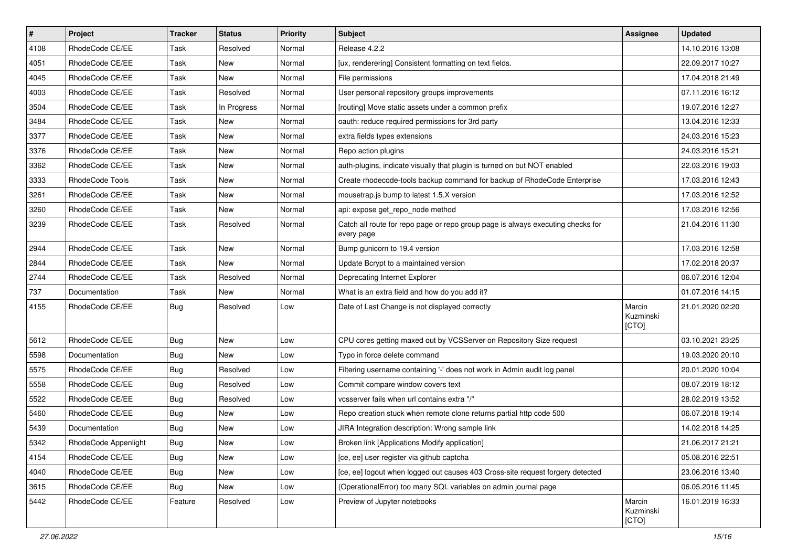| $\pmb{\#}$ | Project              | <b>Tracker</b> | <b>Status</b> | <b>Priority</b> | Subject                                                                                       | <b>Assignee</b>              | <b>Updated</b>   |
|------------|----------------------|----------------|---------------|-----------------|-----------------------------------------------------------------------------------------------|------------------------------|------------------|
| 4108       | RhodeCode CE/EE      | Task           | Resolved      | Normal          | Release 4.2.2                                                                                 |                              | 14.10.2016 13:08 |
| 4051       | RhodeCode CE/EE      | Task           | New           | Normal          | [ux, renderering] Consistent formatting on text fields.                                       |                              | 22.09.2017 10:27 |
| 4045       | RhodeCode CE/EE      | Task           | New           | Normal          | File permissions                                                                              |                              | 17.04.2018 21:49 |
| 4003       | RhodeCode CE/EE      | Task           | Resolved      | Normal          | User personal repository groups improvements                                                  |                              | 07.11.2016 16:12 |
| 3504       | RhodeCode CE/EE      | Task           | In Progress   | Normal          | [routing] Move static assets under a common prefix                                            |                              | 19.07.2016 12:27 |
| 3484       | RhodeCode CE/EE      | Task           | New           | Normal          | oauth: reduce required permissions for 3rd party                                              |                              | 13.04.2016 12:33 |
| 3377       | RhodeCode CE/EE      | Task           | New           | Normal          | extra fields types extensions                                                                 |                              | 24.03.2016 15:23 |
| 3376       | RhodeCode CE/EE      | Task           | New           | Normal          | Repo action plugins                                                                           |                              | 24.03.2016 15:21 |
| 3362       | RhodeCode CE/EE      | Task           | New           | Normal          | auth-plugins, indicate visually that plugin is turned on but NOT enabled                      |                              | 22.03.2016 19:03 |
| 3333       | RhodeCode Tools      | Task           | New           | Normal          | Create rhodecode-tools backup command for backup of RhodeCode Enterprise                      |                              | 17.03.2016 12:43 |
| 3261       | RhodeCode CE/EE      | Task           | New           | Normal          | mousetrap.js bump to latest 1.5.X version                                                     |                              | 17.03.2016 12:52 |
| 3260       | RhodeCode CE/EE      | Task           | New           | Normal          | api: expose get repo node method                                                              |                              | 17.03.2016 12:56 |
| 3239       | RhodeCode CE/EE      | Task           | Resolved      | Normal          | Catch all route for repo page or repo group page is always executing checks for<br>every page |                              | 21.04.2016 11:30 |
| 2944       | RhodeCode CE/EE      | Task           | New           | Normal          | Bump gunicorn to 19.4 version                                                                 |                              | 17.03.2016 12:58 |
| 2844       | RhodeCode CE/EE      | Task           | New           | Normal          | Update Bcrypt to a maintained version                                                         |                              | 17.02.2018 20:37 |
| 2744       | RhodeCode CE/EE      | Task           | Resolved      | Normal          | Deprecating Internet Explorer                                                                 |                              | 06.07.2016 12:04 |
| 737        | Documentation        | Task           | New           | Normal          | What is an extra field and how do you add it?                                                 |                              | 01.07.2016 14:15 |
| 4155       | RhodeCode CE/EE      | Bug            | Resolved      | Low             | Date of Last Change is not displayed correctly                                                | Marcin<br>Kuzminski<br>[CTO] | 21.01.2020 02:20 |
| 5612       | RhodeCode CE/EE      | Bug            | New           | Low             | CPU cores getting maxed out by VCSServer on Repository Size request                           |                              | 03.10.2021 23:25 |
| 5598       | Documentation        | <b>Bug</b>     | New           | Low             | Typo in force delete command                                                                  |                              | 19.03.2020 20:10 |
| 5575       | RhodeCode CE/EE      | <b>Bug</b>     | Resolved      | Low             | Filtering username containing '-' does not work in Admin audit log panel                      |                              | 20.01.2020 10:04 |
| 5558       | RhodeCode CE/EE      | <b>Bug</b>     | Resolved      | Low             | Commit compare window covers text                                                             |                              | 08.07.2019 18:12 |
| 5522       | RhodeCode CE/EE      | <b>Bug</b>     | Resolved      | Low             | vcsserver fails when url contains extra "/"                                                   |                              | 28.02.2019 13:52 |
| 5460       | RhodeCode CE/EE      | Bug            | New           | Low             | Repo creation stuck when remote clone returns partial http code 500                           |                              | 06.07.2018 19:14 |
| 5439       | Documentation        | <b>Bug</b>     | New           | Low             | JIRA Integration description: Wrong sample link                                               |                              | 14.02.2018 14:25 |
| 5342       | RhodeCode Appenlight | Bug            | New           | Low             | Broken link [Applications Modify application]                                                 |                              | 21.06.2017 21:21 |
| 4154       | RhodeCode CE/EE      | Bug            | New           | Low             | [ce, ee] user register via github captcha                                                     |                              | 05.08.2016 22:51 |
| 4040       | RhodeCode CE/EE      | <b>Bug</b>     | New           | Low             | [ce, ee] logout when logged out causes 403 Cross-site request forgery detected                |                              | 23.06.2016 13:40 |
| 3615       | RhodeCode CE/EE      | Bug            | New           | Low             | (OperationalError) too many SQL variables on admin journal page                               |                              | 06.05.2016 11:45 |
| 5442       | RhodeCode CE/EE      | Feature        | Resolved      | Low             | Preview of Jupyter notebooks                                                                  | Marcin<br>Kuzminski<br>[CTO] | 16.01.2019 16:33 |